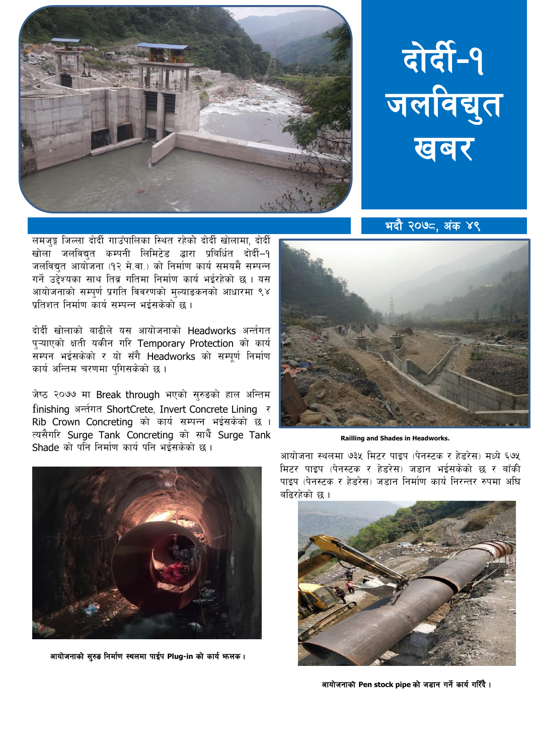



<u>भदौ २०७८, अंक ४९</u>

लमजुङ्ग जिल्ला दोर्दी गाउँपालिका स्थित रहेको दोर्दी खोलामा, दोर्दी खोला जलविद्युत कम्पनी लिमिटेड द्धारा प्रबिर्धित दोर्दी-१ जलविद्युत आयोजना (१२ मे.वा.) को निर्माण कार्य समयमै सम्पन्न गर्ने उद्देश्यका साथ तिब्र गतिमा निर्माण कार्य भईरहेको छ । यस आयोजनाको सम्पुर्ण प्रगति विवरणको मुल्याङकनको आधारमा ९४ प्रतिशत निर्माण कार्य सम्पन्न भईसकेको छ ।

दोर्दी खोलाको बाढीले यस आयोजनाको Headworks अर्न्तगत प्ऱ्याएको क्षती यकीन गरि Temporary Protection को कार्य सम्पन भईसकेको र यो सँगै Headworks को सम्पूर्ण निर्माण कार्य अन्तिम चरणमा पुगिसकेको छ।

जेष्ठ २०७७ मा Break through भएको सुरुडको हाल अन्तिम finishing अर्न्तगत ShortCrete, Invert Concrete Lining र Rib Crown Concreting को कार्य सम्पन्न भईसकेको छ । त्यसैगरि Surge Tank Concreting को सार्थै Surge Tank Shade को पनि निर्माण कार्य पनि भईसकेको छ ।



**Railling and Shades in Headworks.** 



आयोजनाको सुरुड निर्माण स्थलमा पाईप Plug-in को कार्य भन्लक।

आयोजना स्थलमा ७३५ मिटर पाइप (पेनस्टक र हेडरेस) मध्ये ६७५ मिटर पाइप (पेनस्टक र हेडरेस) जड़ान भईसकेको छ र बाँकी पाइप (पेनस्टक र हेडरेस) जड़ान निर्माण कार्य निरन्तर रुपमा अधि बढिरहेको छ ।



आयोजनाको Pen stock pipe को जडान गर्ने कार्य गरिँदै।